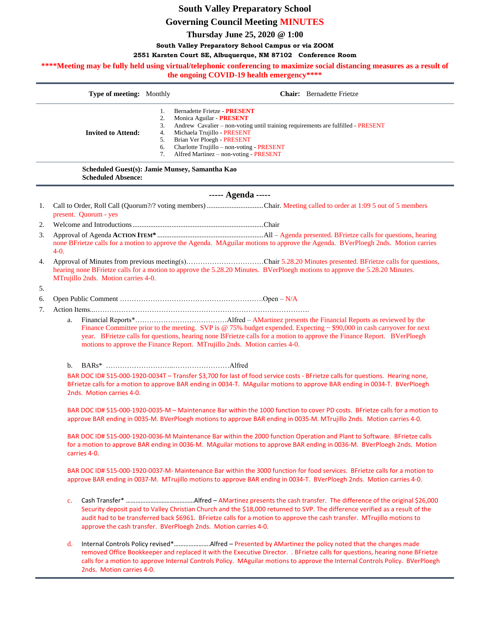# **South Valley Preparatory School**

## **Governing Council Meeting MINUTES**

**Thursday June 25, 2020 @ 1:00**

#### **South Valley Preparatory School Campus or via ZOOM**

#### **2551 Karsten Court SE, Albuquerque, NM 87102 Conference Room**

\*\*\*\*Meeting may be fully held using virtual/telephonic conferencing to maximize social distancing measures as a result of

| the ongoing COVID-19 health emergency**** |                                                                             |                                        |                                                                                                                                                                                                                                                                                                                                    |
|-------------------------------------------|-----------------------------------------------------------------------------|----------------------------------------|------------------------------------------------------------------------------------------------------------------------------------------------------------------------------------------------------------------------------------------------------------------------------------------------------------------------------------|
|                                           | Type of meeting: Monthly                                                    |                                        | <b>Chair:</b> Bernadette Frietze                                                                                                                                                                                                                                                                                                   |
|                                           | <b>Invited to Attend:</b>                                                   | 1.<br>2.<br>3.<br>4.<br>5.<br>6.<br>7. | Bernadette Frietze - PRESENT<br>Monica Aguilar - PRESENT<br>Andrew Cavalier - non-voting until training requirements are fulfilled - PRESENT<br>Michaela Trujillo - PRESENT<br>Brian Ver Ploegh - PRESENT<br>Charlotte Trujillo – non-voting - PRESENT<br>Alfred Martinez - non-voting - PRESENT                                   |
|                                           | Scheduled Guest(s): Jamie Munsey, Samantha Kao<br><b>Scheduled Absence:</b> |                                        |                                                                                                                                                                                                                                                                                                                                    |
|                                           |                                                                             |                                        | ----- Agenda -----                                                                                                                                                                                                                                                                                                                 |
| 1.                                        | present. Quorum - yes                                                       |                                        |                                                                                                                                                                                                                                                                                                                                    |
| 2.                                        |                                                                             |                                        |                                                                                                                                                                                                                                                                                                                                    |
| 3.                                        | $4-0.$                                                                      |                                        | none BFrietze calls for a motion to approve the Agenda. MAguilar motions to approve the Agenda. BVerPloegh 2nds. Motion carries                                                                                                                                                                                                    |
| 4.                                        | MTrujillo 2nds. Motion carries 4-0.                                         |                                        | Approval of Minutes from previous meeting(s)Chair 5.28.20 Minutes presented. BFrietze calls for questions,<br>hearing none BFrietze calls for a motion to approve the 5.28.20 Minutes. BVerPloegh motions to approve the 5.28.20 Minutes.                                                                                          |
| 5.<br>6.                                  |                                                                             |                                        |                                                                                                                                                                                                                                                                                                                                    |
| 7.                                        |                                                                             |                                        |                                                                                                                                                                                                                                                                                                                                    |
|                                           | a.                                                                          |                                        | Finance Committee prior to the meeting. SVP is @ 75% budget expended. Expecting $\sim$ \$90,000 in cash carryover for next<br>year. BFrietze calls for questions, hearing none BFrietze calls for a motion to approve the Finance Report. BVerPloegh<br>motions to approve the Finance Report. MTrujillo 2nds. Motion carries 4-0. |
|                                           | b.                                                                          |                                        |                                                                                                                                                                                                                                                                                                                                    |
|                                           | 2nds. Motion carries 4-0.                                                   |                                        | BAR DOC ID# 515-000-1920-0034T - Transfer \$3,700 for last of food service costs - BFrietze calls for questions. Hearing none,<br>BFrietze calls for a motion to approve BAR ending in 0034-T. MAguilar motions to approve BAR ending in 0034-T. BVerPloegh                                                                        |
|                                           |                                                                             |                                        | BAR DOC ID# 515-000-1920-0035-M - Maintenance Bar within the 1000 function to cover PD costs. BFrietze calls for a motion to<br>approve BAR ending in 0035-M. BVerPloegh motions to approve BAR ending in 0035-M. MTrujillo 2nds. Motion carries 4-0.                                                                              |
|                                           |                                                                             |                                        | BAR DOC ID# 515-000-1920-0036-M Maintenance Bar within the 2000 function Operation and Plant to Software. BFrietze calls                                                                                                                                                                                                           |

carries 4-0. BAR DOC ID# 515-000-1920-0037-M- Maintenance Bar within the 3000 function for food services. BFrietze calls for a motion to

for a motion to approve BAR ending in 0036-M. MAguilar motions to approve BAR ending in 0036-M. BVerPloegh 2nds. Motion

approve BAR ending in 0037-M. MTrujillo motions to approve BAR ending in 0034-T. BVerPloegh 2nds. Motion carries 4-0.

- c. Cash Transfer\* ……………………………………Alfred AMartinez presents the cash transfer. The difference of the original \$26,000 Security deposit paid to Valley Christian Church and the \$18,000 returned to SVP. The difference verified as a result of the audit had to be transferred back \$6961. BFrietze calls for a motion to approve the cash transfer. MTrujillo motions to approve the cash transfer. BVerPloegh 2nds. Motion carries 4-0.
- d. Internal Controls Policy revised\*………………….Alfred Presented by AMartinez the policy noted that the changes made removed Office Bookkeeper and replaced it with the Executive Director. . BFrietze calls for questions, hearing none BFrietze calls for a motion to approve Internal Controls Policy. MAguilar motions to approve the Internal Controls Policy. BVerPloegh 2nds. Motion carries 4-0.